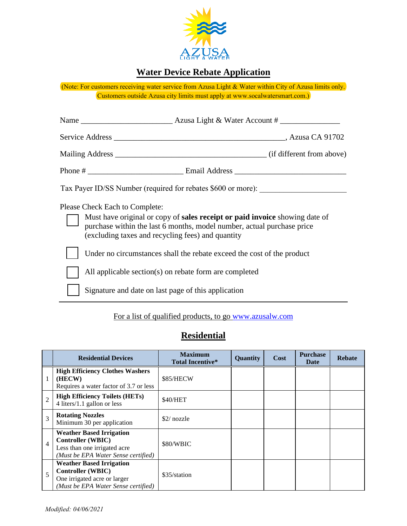

## **Water Device Rebate Application**

(Note: For customers receiving water service from Azusa Light & Water within City of Azusa limits only. Customers outside Azusa city limits must apply at www.socalwatersmart.com.)

|                                                                                                                                                                                                            | Mailing Address (if different from above)                              |  |  |
|------------------------------------------------------------------------------------------------------------------------------------------------------------------------------------------------------------|------------------------------------------------------------------------|--|--|
|                                                                                                                                                                                                            |                                                                        |  |  |
|                                                                                                                                                                                                            | Tax Payer ID/SS Number (required for rebates \$600 or more):           |  |  |
| Please Check Each to Complete:                                                                                                                                                                             |                                                                        |  |  |
| Must have original or copy of sales receipt or paid invoice showing date of<br>purchase within the last 6 months, model number, actual purchase price<br>(excluding taxes and recycling fees) and quantity |                                                                        |  |  |
|                                                                                                                                                                                                            | Under no circumstances shall the rebate exceed the cost of the product |  |  |
|                                                                                                                                                                                                            | All applicable section(s) on rebate form are completed                 |  |  |
|                                                                                                                                                                                                            | Signature and date on last page of this application                    |  |  |

### For a list of qualified products, to go [www.azusalw.com](http://www.azusalw.com/)

### **Residential**

|                | <b>Residential Devices</b>                                                                                                         | <b>Maximum</b><br><b>Total Incentive*</b> | Quantity | Cost | <b>Purchase</b><br>Date | <b>Rebate</b> |
|----------------|------------------------------------------------------------------------------------------------------------------------------------|-------------------------------------------|----------|------|-------------------------|---------------|
|                | <b>High Efficiency Clothes Washers</b><br>(HECW)<br>Requires a water factor of 3.7 or less                                         | \$85/HECW                                 |          |      |                         |               |
| $\overline{c}$ | <b>High Efficiency Toilets (HETs)</b><br>4 liters/1.1 gallon or less                                                               | \$40/HET                                  |          |      |                         |               |
| 3              | <b>Rotating Nozzles</b><br>Minimum 30 per application                                                                              | $$2/nozz$ le                              |          |      |                         |               |
| $\overline{4}$ | <b>Weather Based Irrigation</b><br><b>Controller (WBIC)</b><br>Less than one irrigated acre<br>(Must be EPA Water Sense certified) | \$80/WBIC                                 |          |      |                         |               |
| 5              | <b>Weather Based Irrigation</b><br><b>Controller (WBIC)</b><br>One irrigated acre or larger<br>(Must be EPA Water Sense certified) | \$35/station                              |          |      |                         |               |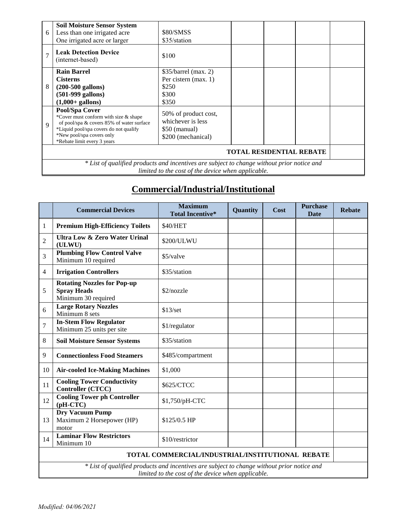| 6                                                                                          | <b>Soil Moisture Sensor System</b><br>Less than one irrigated acre<br>One irrigated acre or larger                                                                                                         | \$80/SMSS<br>\$35/station                                                         |  |
|--------------------------------------------------------------------------------------------|------------------------------------------------------------------------------------------------------------------------------------------------------------------------------------------------------------|-----------------------------------------------------------------------------------|--|
| $\overline{7}$                                                                             | <b>Leak Detection Device</b><br>(internet-based)                                                                                                                                                           | \$100                                                                             |  |
|                                                                                            | <b>Rain Barrel</b>                                                                                                                                                                                         | $$35/b$ arrel (max. 2)                                                            |  |
|                                                                                            | <b>Cisterns</b>                                                                                                                                                                                            | Per cistern (max. 1)                                                              |  |
| 8                                                                                          | $(200-500 \text{ gallons})$                                                                                                                                                                                | \$250                                                                             |  |
|                                                                                            | $(501-999$ gallons)                                                                                                                                                                                        | \$300                                                                             |  |
|                                                                                            | $(1,000+$ gallons)                                                                                                                                                                                         | \$350                                                                             |  |
| $\mathbf Q$                                                                                | Pool/Spa Cover<br>*Cover must conform with size & shape<br>of pool/spa & covers 85% of water surface<br>*Liquid pool/spa covers do not qualify<br>*New pool/spa covers only<br>*Rebate limit every 3 years | 50% of product cost,<br>whichever is less<br>$$50$ (manual)<br>\$200 (mechanical) |  |
| <b>TOTAL RESIDENTIAL REBATE</b>                                                            |                                                                                                                                                                                                            |                                                                                   |  |
| * List of qualified products and incentives are subject to change without prior notice and |                                                                                                                                                                                                            |                                                                                   |  |
|                                                                                            | limited to the cost of the device when applicable.                                                                                                                                                         |                                                                                   |  |

# **Commercial/Industrial/Institutional**

|                                                                                                                                                  | <b>Commercial Devices</b>                                                       | <b>Maximum</b><br><b>Total Incentive*</b> | Quantity | Cost | <b>Purchase</b><br><b>Date</b> | <b>Rebate</b> |
|--------------------------------------------------------------------------------------------------------------------------------------------------|---------------------------------------------------------------------------------|-------------------------------------------|----------|------|--------------------------------|---------------|
| 1                                                                                                                                                | <b>Premium High-Efficiency Toilets</b>                                          | \$40/HET                                  |          |      |                                |               |
| $\overline{2}$                                                                                                                                   | <b>Ultra Low &amp; Zero Water Urinal</b><br>(ULWU)                              | \$200/ULWU                                |          |      |                                |               |
| 3                                                                                                                                                | <b>Plumbing Flow Control Valve</b><br>Minimum 10 required                       | \$5/valve                                 |          |      |                                |               |
| 4                                                                                                                                                | <b>Irrigation Controllers</b>                                                   | \$35/station                              |          |      |                                |               |
| 5                                                                                                                                                | <b>Rotating Nozzles for Pop-up</b><br><b>Spray Heads</b><br>Minimum 30 required | \$2/nozzle                                |          |      |                                |               |
| 6                                                                                                                                                | <b>Large Rotary Nozzles</b><br>Minimum 8 sets                                   | \$13/set                                  |          |      |                                |               |
| 7                                                                                                                                                | <b>In-Stem Flow Regulator</b><br>Minimum 25 units per site                      | \$1/regulator                             |          |      |                                |               |
| 8                                                                                                                                                | <b>Soil Moisture Sensor Systems</b>                                             | \$35/station                              |          |      |                                |               |
| 9                                                                                                                                                | <b>Connectionless Food Steamers</b>                                             | \$485/compartment                         |          |      |                                |               |
| 10                                                                                                                                               | <b>Air-cooled Ice-Making Machines</b>                                           | \$1,000                                   |          |      |                                |               |
| 11                                                                                                                                               | <b>Cooling Tower Conductivity</b><br><b>Controller (CTCC)</b>                   | \$625/CTCC                                |          |      |                                |               |
| 12                                                                                                                                               | <b>Cooling Tower ph Controller</b><br>$(pH-CTC)$                                | \$1,750/pH-CTC                            |          |      |                                |               |
| 13                                                                                                                                               | <b>Dry Vacuum Pump</b><br>Maximum 2 Horsepower (HP)<br>motor                    | \$125/0.5 HP                              |          |      |                                |               |
| 14                                                                                                                                               | <b>Laminar Flow Restrictors</b><br>Minimum 10                                   | \$10/restrictor                           |          |      |                                |               |
| TOTAL COMMERCIAL/INDUSTRIAL/INSTITUTIONAL REBATE                                                                                                 |                                                                                 |                                           |          |      |                                |               |
| * List of qualified products and incentives are subject to change without prior notice and<br>limited to the cost of the device when applicable. |                                                                                 |                                           |          |      |                                |               |